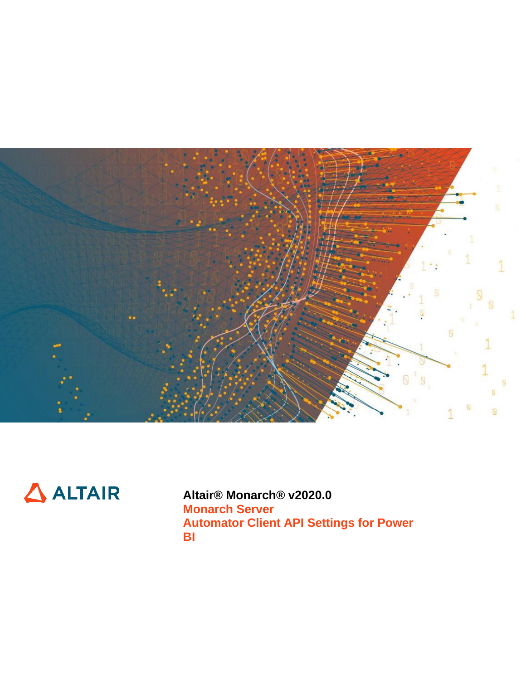



**Altair® Monarch® v2020.0 Monarch Server Automator Client API Settings for Power BI**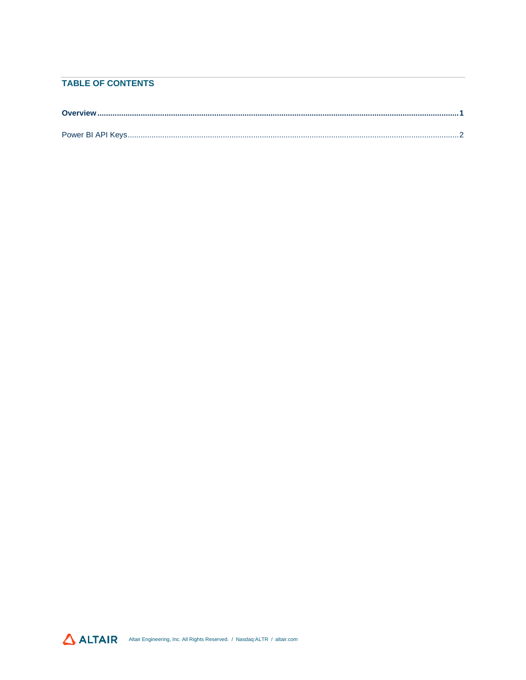### **TABLE OF CONTENTS**

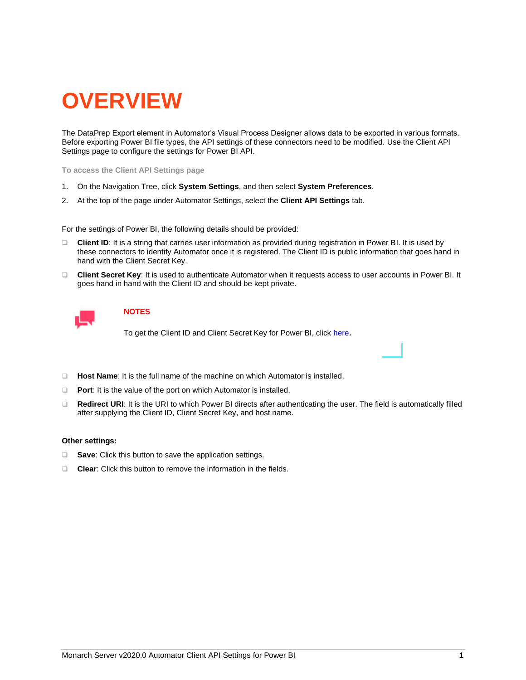# <span id="page-2-0"></span>**OVERVIEW**

The DataPrep Export element in Automator's Visual Process Designer allows data to be exported in various formats. Before exporting Power BI file types, the API settings of these connectors need to be modified. Use the Client API Settings page to configure the settings for Power BI API.

**To access the Client API Settings page**

- 1. On the Navigation Tree, click **System Settings**, and then select **System Preferences**.
- 2. At the top of the page under Automator Settings, select the **Client API Settings** tab.

For the settings of Power BI, the following details should be provided:

- ❑ **Client ID**: It is a string that carries user information as provided during registration in Power BI. It is used by these connectors to identify Automator once it is registered. The Client ID is public information that goes hand in hand with the Client Secret Key.
- ❑ **Client Secret Key**: It is used to authenticate Automator when it requests access to user accounts in Power BI. It goes hand in hand with the Client ID and should be kept private.



### **NOTES**

To get the Client ID and Client Secret Key for Power BI, click [here](#page-2-1).

- ❑ **Host Name**: It is the full name of the machine on which Automator is installed.
- ❑ **Port**: It is the value of the port on which Automator is installed.
- ❑ **Redirect URI**: It is the URI to which Power BI directs after authenticating the user. The field is automatically filled after supplying the Client ID, Client Secret Key, and host name.

#### **Other settings:**

- ❑ **Save**: Click this button to save the application settings.
- <span id="page-2-1"></span>❑ **Clear**: Click this button to remove the information in the fields.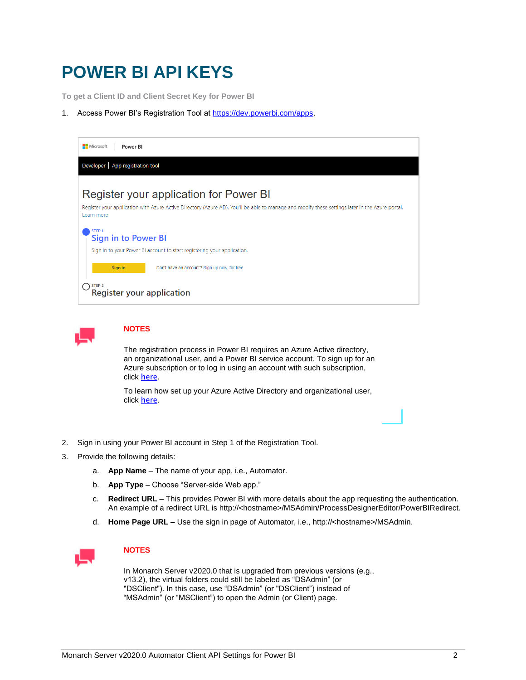## <span id="page-3-0"></span>**POWER BI API KEYS**

**To get a Client ID and Client Secret Key for Power BI**

1. Access Power BI's Registration Tool a[t https://dev.powerbi.com/apps.](https://dev.powerbi.com/apps)





### **NOTES**

The registration process in Power BI requires an Azure Active directory, an organizational user, and a Power BI service account. To sign up for an Azure subscription or to log in using an account with such subscription, click [here](https://manage.windowsazure.com/).

To learn how set up your Azure Active Directory and organizational user, click [here](https://powerbi.microsoft.com/en-us/documentation/powerbi-developer-create-an-azure-active-directory-tenant/).

- 2. Sign in using your Power BI account in Step 1 of the Registration Tool.
- 3. Provide the following details:
	- a. **App Name**  The name of your app, i.e., Automator.
	- b. **App Type** Choose "Server-side Web app."
	- c. **Redirect URL** This provides Power BI with more details about the app requesting the authentication. An example of a redirect URL is http://<hostname>/MSAdmin/ProcessDesignerEditor/PowerBIRedirect.
	- d. **Home Page URL** Use the sign in page of Automator, i.e., http://<hostname>/MSAdmin.



### **NOTES**

In Monarch Server v2020.0 that is upgraded from previous versions (e.g., v13.2), the virtual folders could still be labeled as "DSAdmin" (or "DSClient"). In this case, use "DSAdmin" (or "DSClient") instead of "MSAdmin" (or "MSClient") to open the Admin (or Client) page.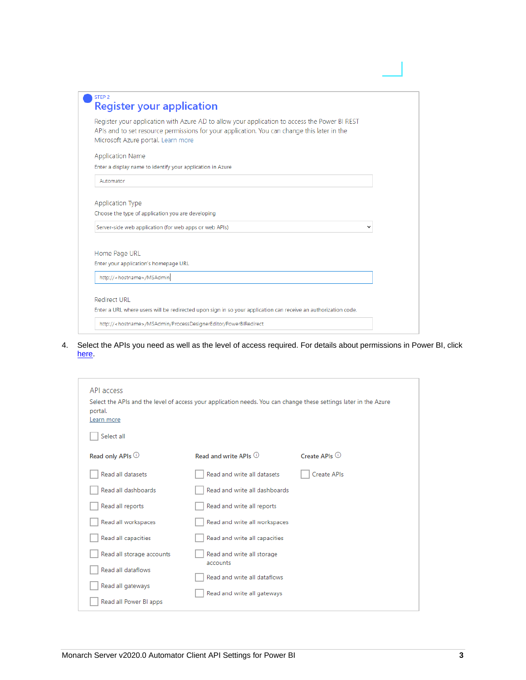| STEP <sub>2</sub><br><b>Register your application</b>                                                                                                                                                                              |  |
|------------------------------------------------------------------------------------------------------------------------------------------------------------------------------------------------------------------------------------|--|
| Register your application with Azure AD to allow your application to access the Power BI REST<br>APIs and to set resource permissions for your application. You can change this later in the<br>Microsoft Azure portal. Learn more |  |
| <b>Application Name</b>                                                                                                                                                                                                            |  |
| Enter a display name to identify your application in Azure                                                                                                                                                                         |  |
| Automator                                                                                                                                                                                                                          |  |
| <b>Application Type</b><br>Choose the type of application you are developing                                                                                                                                                       |  |
| Server-side web application (for web apps or web APIs)                                                                                                                                                                             |  |
| Home Page URL                                                                                                                                                                                                                      |  |
| Enter your application's homepage URL                                                                                                                                                                                              |  |
| http:// <hostname>/MSAdmin</hostname>                                                                                                                                                                                              |  |
|                                                                                                                                                                                                                                    |  |
| Redirect URL                                                                                                                                                                                                                       |  |
| Enter a URL where users will be redirected upon sign in so your application can receive an authorization code.                                                                                                                     |  |
| http:// <hostname>/MSAdmin/ProcessDesignerEditor/PowerBlRedirect</hostname>                                                                                                                                                        |  |
|                                                                                                                                                                                                                                    |  |

4. Select the APIs you need as well as the level of access required. For details about permissions in Power BI, click [here.](https://powerbi.microsoft.com/en-us/documentation/powerbi-developer-power-bi-permissions/)

| API access<br>portal.<br>Learn more<br>Select all | Select the APIs and the level of access your application needs. You can change these settings later in the Azure |                 |
|---------------------------------------------------|------------------------------------------------------------------------------------------------------------------|-----------------|
| Read only APIs <sup>1</sup>                       | Read and write APIs $\odot$                                                                                      | Create APIs $①$ |
| Read all datasets                                 | Read and write all datasets                                                                                      | Create APIs     |
| Read all dashboards                               | Read and write all dashboards                                                                                    |                 |
| Read all reports                                  | Read and write all reports                                                                                       |                 |
| Read all workspaces                               | Read and write all workspaces                                                                                    |                 |
| Read all capacities                               | Read and write all capacities                                                                                    |                 |
| Read all storage accounts                         | Read and write all storage<br>accounts                                                                           |                 |
| Read all dataflows                                | Read and write all dataflows                                                                                     |                 |
| Read all gateways                                 | Read and write all gateways                                                                                      |                 |
| Read all Power BI apps                            |                                                                                                                  |                 |
|                                                   |                                                                                                                  |                 |